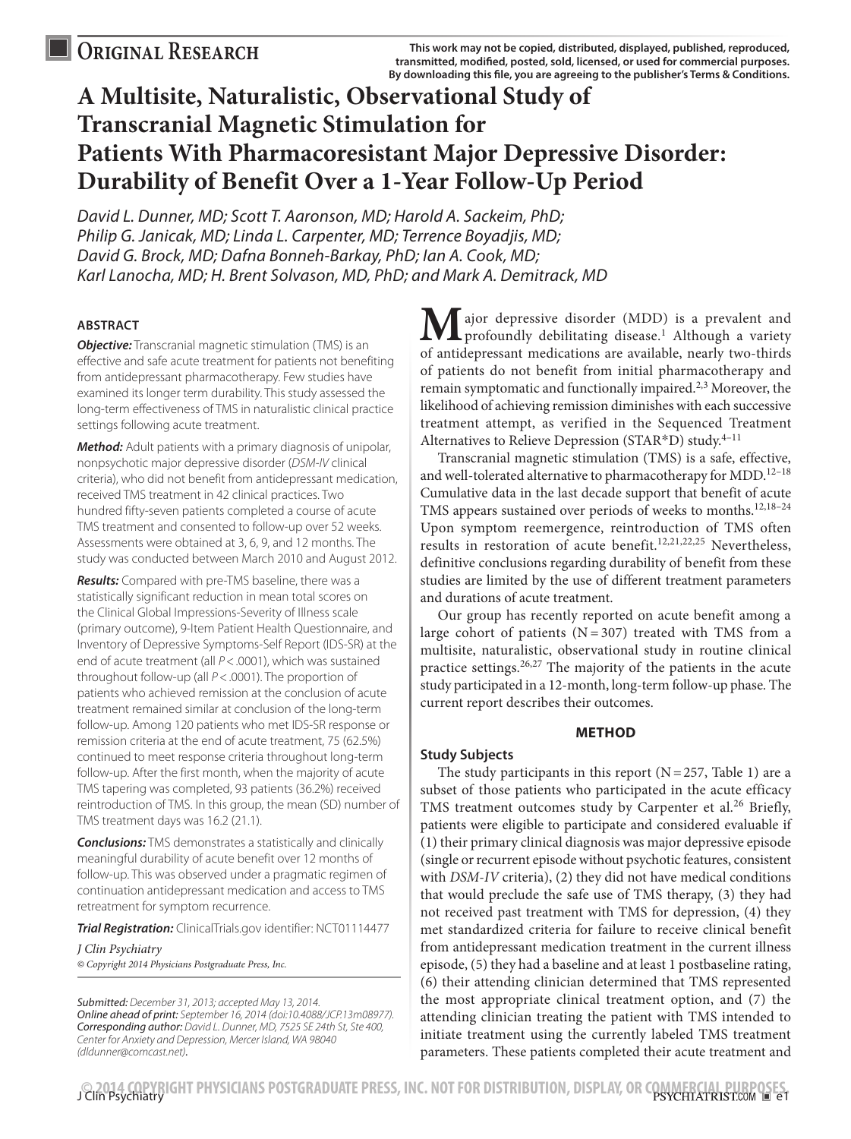# **A Multisite, Naturalistic, Observational Study of Transcranial Magnetic Stimulation for Patients With Pharmacoresistant Major Depressive Disorder: Durability of Benefit Over a 1-Year Follow-Up Period**

*David L. Dunner, MD; Scott T. Aaronson, MD; Harold A. Sackeim, PhD; Philip G. Janicak, MD; Linda L. Carpenter, MD; Terrence Boyadjis, MD; David G. Brock, MD; Dafna Bonneh-Barkay, PhD; Ian A. Cook, MD; Karl Lanocha, MD; H. Brent Solvason, MD, PhD; and Mark A. Demitrack, MD*

# **ABSTRACT**

**Objective:** Transcranial magnetic stimulation (TMS) is an effective and safe acute treatment for patients not benefiting from antidepressant pharmacotherapy. Few studies have examined its longer term durability. This study assessed the long-term effectiveness of TMS in naturalistic clinical practice settings following acute treatment.

*Method:* Adult patients with a primary diagnosis of unipolar, nonpsychotic major depressive disorder (*DSM-IV* clinical criteria), who did not benefit from antidepressant medication, received TMS treatment in 42 clinical practices. Two hundred fifty-seven patients completed a course of acute TMS treatment and consented to follow-up over 52 weeks. Assessments were obtained at 3, 6, 9, and 12 months. The study was conducted between March 2010 and August 2012.

*Results:* Compared with pre-TMS baseline, there was a statistically significant reduction in mean total scores on the Clinical Global Impressions-Severity of Illness scale (primary outcome), 9-Item Patient Health Questionnaire, and Inventory of Depressive Symptoms-Self Report (IDS-SR) at the end of acute treatment (all *P*<.0001), which was sustained throughout follow-up (all *P*<.0001). The proportion of patients who achieved remission at the conclusion of acute treatment remained similar at conclusion of the long-term follow-up. Among 120 patients who met IDS-SR response or remission criteria at the end of acute treatment, 75 (62.5%) continued to meet response criteria throughout long-term follow-up. After the first month, when the majority of acute TMS tapering was completed, 93 patients (36.2%) received reintroduction of TMS. In this group, the mean (SD) number of TMS treatment days was 16.2 (21.1).

*Conclusions:* TMS demonstrates a statistically and clinically meaningful durability of acute benefit over 12 months of follow-up. This was observed under a pragmatic regimen of continuation antidepressant medication and access to TMS retreatment for symptom recurrence.

*Trial Registration:* ClinicalTrials.gov identifier: NCT01114477

*J Clin Psychiatry* 

*© Copyright 2014 Physicians Postgraduate Press, Inc.*

*Submitted: December 31, 2013; accepted May 13, 2014. Online ahead of print: September 16, 2014 (doi:10.4088/JCP.13m08977). Corresponding author: David L. Dunner, MD, 7525 SE 24th St, Ste 400, Center for Anxiety and Depression, Mercer Island, WA 98040 (dldunner@comcast.net).*

ajor depressive disorder (MDD) is a prevalent and profoundly debilitating disease.<sup>1</sup> Although a variety of antidepressant medications are available, nearly two-thirds of patients do not benefit from initial pharmacotherapy and remain symptomatic and functionally impaired.<sup>2,3</sup> Moreover, the likelihood of achieving remission diminishes with each successive treatment attempt, as verified in the Sequenced Treatment Alternatives to Relieve Depression ( $STAR^*D$ ) study.<sup>4-11</sup>

Transcranial magnetic stimulation (TMS) is a safe, effective, and well-tolerated alternative to pharmacotherapy for MDD.<sup>12–18</sup> Cumulative data in the last decade support that benefit of acute TMS appears sustained over periods of weeks to months.<sup>12,18-24</sup> Upon symptom reemergence, reintroduction of TMS often results in restoration of acute benefit.<sup>12,21,22,25</sup> Nevertheless, definitive conclusions regarding durability of benefit from these studies are limited by the use of different treatment parameters and durations of acute treatment.

Our group has recently reported on acute benefit among a large cohort of patients  $(N = 307)$  treated with TMS from a multisite, naturalistic, observational study in routine clinical practice settings. $26,27$  The majority of the patients in the acute study participated in a 12-month, long-term follow-up phase. The current report describes their outcomes.

# **METHOD**

# **Study Subjects**

The study participants in this report  $(N=257,$  Table 1) are a subset of those patients who participated in the acute efficacy TMS treatment outcomes study by Carpenter et al.<sup>26</sup> Briefly, patients were eligible to participate and considered evaluable if (1) their primary clinical diagnosis was major depressive episode (single or recurrent episode without psychotic features, consistent with *DSM-IV* criteria), (2) they did not have medical conditions that would preclude the safe use of TMS therapy, (3) they had not received past treatment with TMS for depression, (4) they met standardized criteria for failure to receive clinical benefit from antidepressant medication treatment in the current illness episode, (5) they had a baseline and at least 1 postbaseline rating, (6) their attending clinician determined that TMS represented the most appropriate clinical treatment option, and (7) the attending clinician treating the patient with TMS intended to initiate treatment using the currently labeled TMS treatment parameters. These patients completed their acute treatment and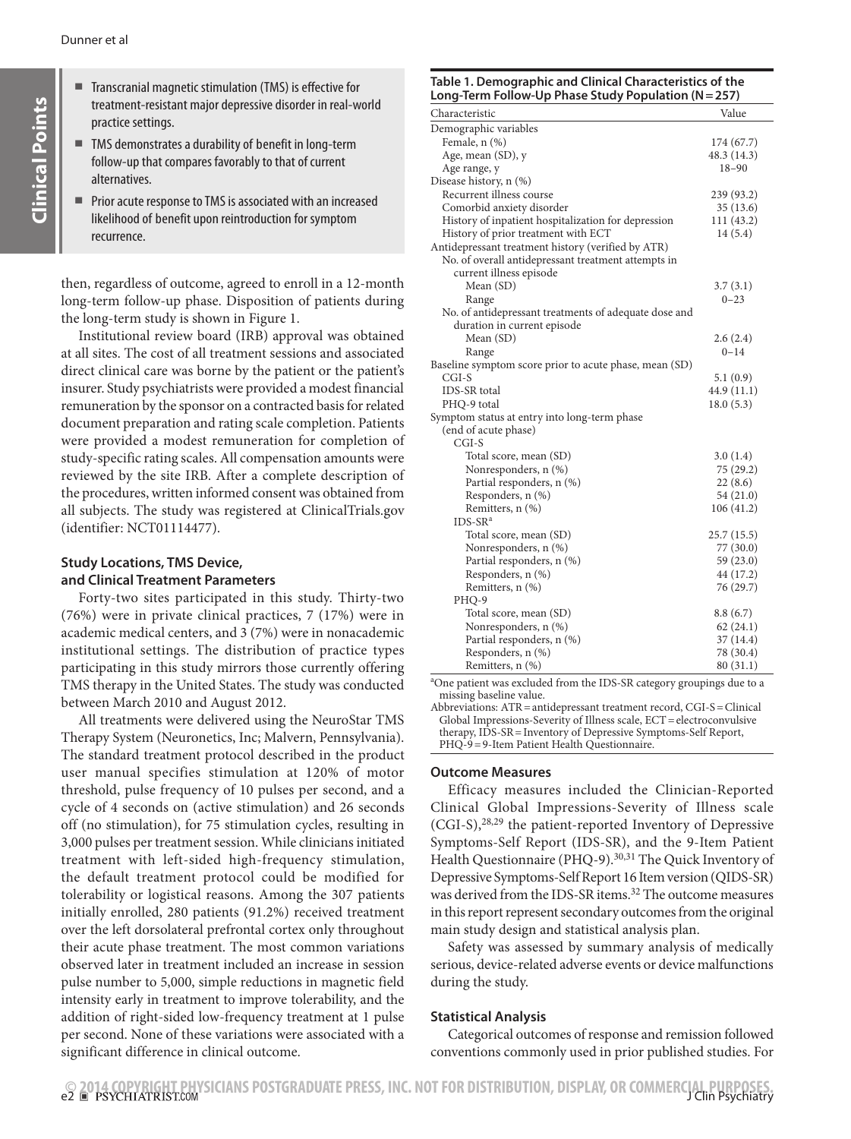- Transcranial magnetic stimulation (TMS) is effective for treatment-resistant major depressive disorder in real-world practice settings.
- TMS demonstrates a durability of benefit in long-term follow-up that compares favorably to that of current alternatives.
- Prior acute response to TMS is associated with an increased likelihood of benefit upon reintroduction for symptom recurrence.

then, regardless of outcome, agreed to enroll in a 12-month long-term follow-up phase. Disposition of patients during the long-term study is shown in Figure 1.

Institutional review board (IRB) approval was obtained at all sites. The cost of all treatment sessions and associated direct clinical care was borne by the patient or the patient's insurer. Study psychiatrists were provided a modest financial remuneration by the sponsor on a contracted basis for related document preparation and rating scale completion. Patients were provided a modest remuneration for completion of study-specific rating scales. All compensation amounts were reviewed by the site IRB. After a complete description of the procedures, written informed consent was obtained from all subjects. The study was registered at ClinicalTrials.gov (identifier: NCT01114477).

# **Study Locations, TMS Device, and Clinical Treatment Parameters**

Forty-two sites participated in this study. Thirty-two (76%) were in private clinical practices, 7 (17%) were in academic medical centers, and 3 (7%) were in nonacademic institutional settings. The distribution of practice types participating in this study mirrors those currently offering TMS therapy in the United States. The study was conducted between March 2010 and August 2012.

All treatments were delivered using the NeuroStar TMS Therapy System (Neuronetics, Inc; Malvern, Pennsylvania). The standard treatment protocol described in the product user manual specifies stimulation at 120% of motor threshold, pulse frequency of 10 pulses per second, and a cycle of 4 seconds on (active stimulation) and 26 seconds off (no stimulation), for 75 stimulation cycles, resulting in 3,000 pulses per treatment session. While clinicians initiated treatment with left-sided high-frequency stimulation, the default treatment protocol could be modified for tolerability or logistical reasons. Among the 307 patients initially enrolled, 280 patients (91.2%) received treatment over the left dorsolateral prefrontal cortex only throughout their acute phase treatment. The most common variations observed later in treatment included an increase in session pulse number to 5,000, simple reductions in magnetic field intensity early in treatment to improve tolerability, and the addition of right-sided low-frequency treatment at 1 pulse per second. None of these variations were associated with a significant difference in clinical outcome.

## **Table 1. Demographic and Clinical Characteristics of the Long-Term Follow-Up Phase Study Population (N=257)**

| Long Term Follow Op Filase Staay Fopulation (iv-       | - - - -     |
|--------------------------------------------------------|-------------|
| Characteristic                                         | Value       |
| Demographic variables                                  |             |
| Female, n (%)                                          | 174 (67.7)  |
| Age, mean (SD), y                                      | 48.3 (14.3) |
| Age range, y                                           | $18 - 90$   |
| Disease history, n (%)                                 |             |
| Recurrent illness course                               | 239 (93.2)  |
| Comorbid anxiety disorder                              | 35(13.6)    |
| History of inpatient hospitalization for depression    | 111(43.2)   |
| History of prior treatment with ECT                    | 14(5.4)     |
| Antidepressant treatment history (verified by ATR)     |             |
| No. of overall antidepressant treatment attempts in    |             |
| current illness episode                                |             |
| Mean (SD)                                              | 3.7(3.1)    |
| Range                                                  | $0 - 23$    |
| No. of antidepressant treatments of adequate dose and  |             |
| duration in current episode                            |             |
| Mean (SD)                                              | 2.6(2.4)    |
| Range                                                  | $0 - 14$    |
| Baseline symptom score prior to acute phase, mean (SD) |             |
| $CGI-S$                                                | 5.1(0.9)    |
| IDS-SR total                                           | 44.9 (11.1) |
| PHQ-9 total                                            | 18.0(5.3)   |
| Symptom status at entry into long-term phase           |             |
| (end of acute phase)                                   |             |
| $CGI-S$                                                |             |
| Total score, mean (SD)                                 | 3.0(1.4)    |
| Nonresponders, n (%)                                   | 75 (29.2)   |
| Partial responders, n (%)                              | 22(8.6)     |
| Responders, n (%)                                      | 54 (21.0)   |
| Remitters, n (%)                                       | 106(41.2)   |
| $IDS-SRa$                                              |             |
| Total score, mean (SD)                                 | 25.7(15.5)  |
| Nonresponders, n (%)                                   | 77 (30.0)   |
| Partial responders, n (%)                              | 59 (23.0)   |
| Responders, n (%)                                      | 44 (17.2)   |
| Remitters, n (%)                                       | 76 (29.7)   |
| PHQ-9                                                  |             |
| Total score, mean (SD)                                 | 8.8(6.7)    |
| Nonresponders, n (%)                                   | 62(24.1)    |
| Partial responders, n (%)                              | 37(14.4)    |
| Responders, n (%)                                      | 78 (30.4)   |
| Remitters, n (%)                                       | 80(31.1)    |

<sup>a</sup>One patient was excluded from the IDS-SR category groupings due to a missing baseline value.

Abbreviations: ATR=antidepressant treatment record, CGI-S=Clinical Global Impressions-Severity of Illness scale, ECT = electroconvulsive therapy, IDS-SR=Inventory of Depressive Symptoms-Self Report, PHQ-9 = 9-Item Patient Health Questionnaire.

# **Outcome Measures**

Efficacy measures included the Clinician-Reported Clinical Global Impressions-Severity of Illness scale (CGI-S),28,29 the patient-reported Inventory of Depressive Symptoms-Self Report (IDS-SR), and the 9-Item Patient Health Questionnaire (PHQ-9).<sup>30,31</sup> The Quick Inventory of Depressive Symptoms-Self Report 16 Item version (QIDS-SR) was derived from the IDS-SR items.<sup>32</sup> The outcome measures in this report represent secondary outcomes from the original main study design and statistical analysis plan.

Safety was assessed by summary analysis of medically serious, device-related adverse events or device malfunctions during the study.

# **Statistical Analysis**

Categorical outcomes of response and remission followed conventions commonly used in prior published studies. For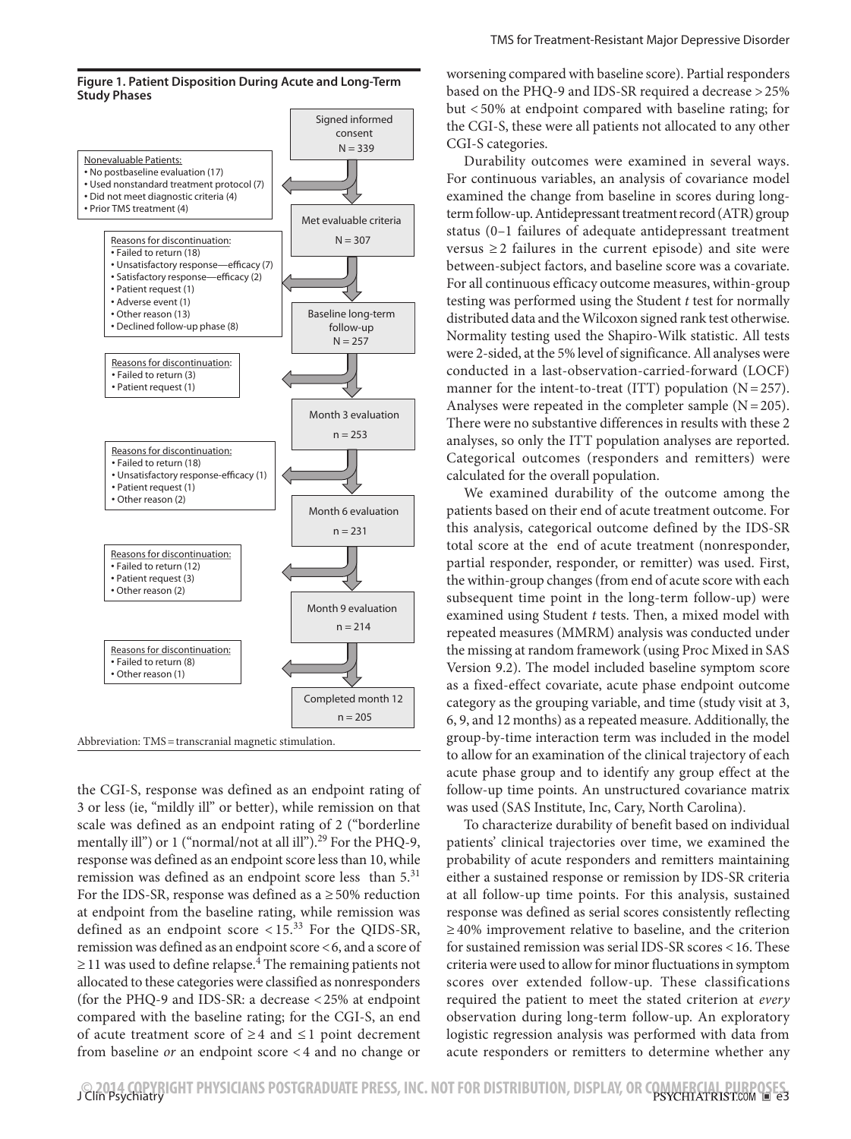



the CGI-S, response was defined as an endpoint rating of 3 or less (ie, "mildly ill" or better), while remission on that scale was defined as an endpoint rating of 2 ("borderline mentally ill") or 1 ("normal/not at all ill").<sup>29</sup> For the PHQ-9, response was defined as an endpoint score less than 10, while remission was defined as an endpoint score less than  $5<sup>31</sup>$ For the IDS-SR, response was defined as  $a \ge 50\%$  reduction at endpoint from the baseline rating, while remission was defined as an endpoint score  $\lt 15$ .<sup>33</sup> For the QIDS-SR, remission was defined as an endpoint score <6, and a score of  $\geq$  11 was used to define relapse.<sup>4</sup> The remaining patients not allocated to these categories were classified as nonresponders (for the PHQ-9 and IDS-SR: a decrease <25% at endpoint compared with the baseline rating; for the CGI-S, an end of acute treatment score of ≥4 and ≤ 1 point decrement from baseline *or* an endpoint score < 4 and no change or

worsening compared with baseline score). Partial responders based on the PHQ-9 and IDS-SR required a decrease >25% but < 50% at endpoint compared with baseline rating; for the CGI-S, these were all patients not allocated to any other CGI-S categories.

Durability outcomes were examined in several ways. For continuous variables, an analysis of covariance model examined the change from baseline in scores during longterm follow-up. Antidepressant treatment record (ATR) group status (0–1 failures of adequate antidepressant treatment versus  $\geq$  2 failures in the current episode) and site were between-subject factors, and baseline score was a covariate. For all continuous efficacy outcome measures, within-group testing was performed using the Student *t* test for normally distributed data and the Wilcoxon signed rank test otherwise. Normality testing used the Shapiro-Wilk statistic. All tests were 2-sided, at the 5% level of significance. All analyses were conducted in a last-observation-carried-forward (LOCF) manner for the intent-to-treat (ITT) population  $(N=257)$ . Analyses were repeated in the completer sample  $(N=205)$ . There were no substantive differences in results with these 2 analyses, so only the ITT population analyses are reported. Categorical outcomes (responders and remitters) were calculated for the overall population.

We examined durability of the outcome among the patients based on their end of acute treatment outcome. For this analysis, categorical outcome defined by the IDS-SR total score at the end of acute treatment (nonresponder, partial responder, responder, or remitter) was used. First, the within-group changes (from end of acute score with each subsequent time point in the long-term follow-up) were examined using Student *t* tests. Then, a mixed model with repeated measures (MMRM) analysis was conducted under the missing at random framework (using Proc Mixed in SAS Version 9.2). The model included baseline symptom score as a fixed-effect covariate, acute phase endpoint outcome category as the grouping variable, and time (study visit at 3, 6, 9, and 12 months) as a repeated measure. Additionally, the group-by-time interaction term was included in the model to allow for an examination of the clinical trajectory of each acute phase group and to identify any group effect at the follow-up time points. An unstructured covariance matrix was used (SAS Institute, Inc, Cary, North Carolina).

To characterize durability of benefit based on individual patients' clinical trajectories over time, we examined the probability of acute responders and remitters maintaining either a sustained response or remission by IDS-SR criteria at all follow-up time points. For this analysis, sustained response was defined as serial scores consistently reflecting ≥40% improvement relative to baseline, and the criterion for sustained remission was serial IDS-SR scores <16. These criteria were used to allow for minor fluctuations in symptom scores over extended follow-up. These classifications required the patient to meet the stated criterion at *every* observation during long-term follow-up. An exploratory logistic regression analysis was performed with data from acute responders or remitters to determine whether any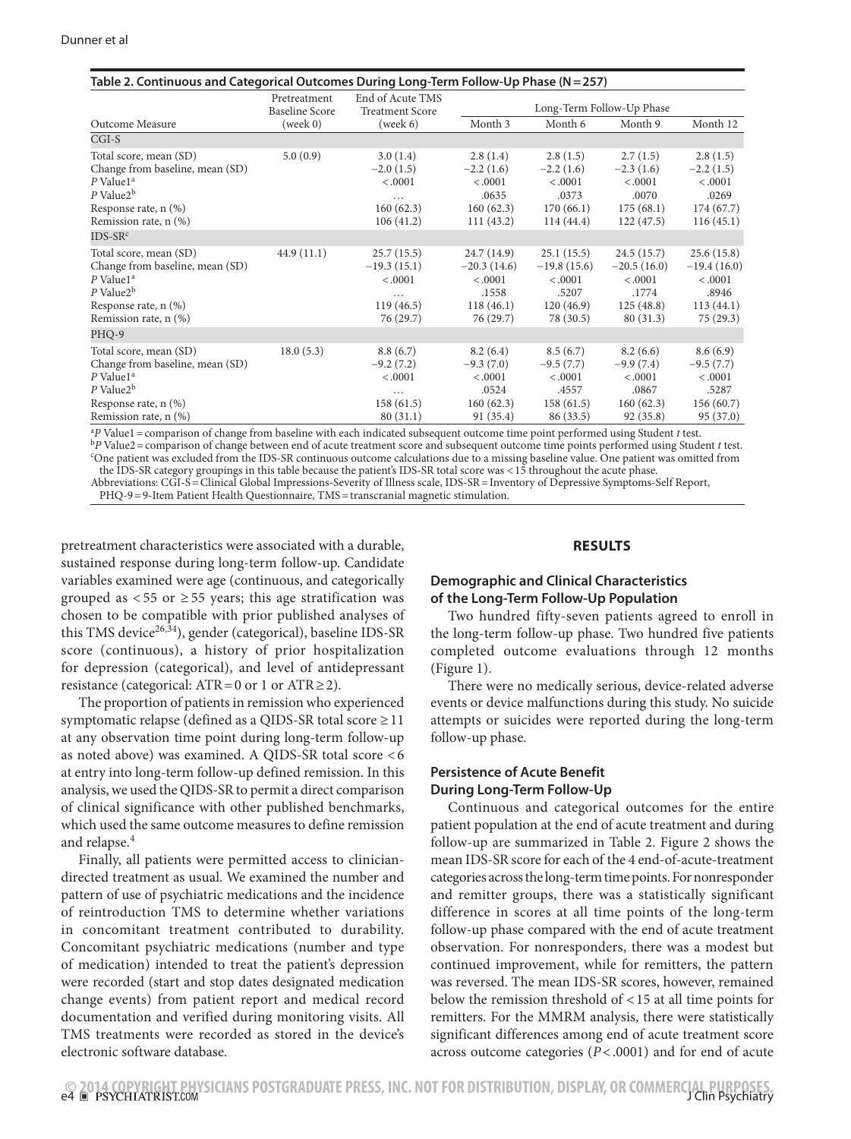| Outcome Measure                                                                                                                                                                        | Pretreatment<br><b>Baseline Score</b><br>(week 0) | End of Acute TMS<br><b>Treatment Score</b><br>(week 6)                | Long-Term Follow-Up Phase                                                  |                                                                           |                                                                          |                                                                           |
|----------------------------------------------------------------------------------------------------------------------------------------------------------------------------------------|---------------------------------------------------|-----------------------------------------------------------------------|----------------------------------------------------------------------------|---------------------------------------------------------------------------|--------------------------------------------------------------------------|---------------------------------------------------------------------------|
|                                                                                                                                                                                        |                                                   |                                                                       | Month 3                                                                    | Month 6                                                                   | Month 9                                                                  | Month 12                                                                  |
| $CGI-S$                                                                                                                                                                                |                                                   |                                                                       |                                                                            |                                                                           |                                                                          |                                                                           |
| Total score, mean (SD)<br>Change from baseline, mean (SD)<br>$P$ Value1 <sup>a</sup><br>$P$ Value2 <sup>b</sup><br>Response rate, n (%)<br>Remission rate, n (%)                       | 5.0(0.9)                                          | 3.0(1.4)<br>$-2.0(1.5)$<br>< .0001<br>.<br>160(62.3)<br>106(41.2)     | 2.8(1.4)<br>$-2.2(1.6)$<br>< .0001<br>.0635<br>160(62.3)<br>111(43.2)      | 2.8(1.5)<br>$-2.2(1.6)$<br>< .0001<br>.0373<br>170(66.1)<br>114(44.4)     | 2.7(1.5)<br>$-2.3(1.6)$<br>< .0001<br>.0070<br>175(68.1)<br>122(47.5)    | 2.8(1.5)<br>$-2.2(1.5)$<br>< .0001<br>.0269<br>174(67.7)<br>116(45.1)     |
| $IDS-SRc$<br>Total score, mean (SD)<br>Change from baseline, mean (SD)<br>$P$ Value1 <sup>a</sup><br>$P$ Value2 <sup>b</sup><br>Response rate, n (%)<br>Remission rate, n (%)<br>PHQ-9 | 44.9(11.1)                                        | 25.7(15.5)<br>$-19.3(15.1)$<br>< .0001<br>.<br>119(46.5)<br>76 (29.7) | 24.7 (14.9)<br>$-20.3(14.6)$<br>< .0001<br>.1558<br>118(46.1)<br>76 (29.7) | 25.1(15.5)<br>$-19.8(15.6)$<br>< .0001<br>.5207<br>120(46.9)<br>78 (30.5) | 24.5(15.7)<br>$-20.5(16.0)$<br>< .0001<br>.1774<br>125(48.8)<br>80(31.3) | 25.6(15.8)<br>$-19.4(16.0)$<br>< .0001<br>.8946<br>113(44.1)<br>75 (29.3) |
| Total score, mean (SD)<br>Change from baseline, mean (SD)<br>$P$ Value1 <sup>a</sup><br>$P$ Value2 $b$<br>Response rate, n (%)<br>Remission rate, n (%)                                | 18.0(5.3)                                         | 8.8(6.7)<br>$-9.2(7.2)$<br>< .0001<br>.<br>158(61.5)<br>80(31.1)      | 8.2(6.4)<br>$-9.3(7.0)$<br>< .0001<br>.0524<br>160(62.3)<br>91 (35.4)      | 8.5(6.7)<br>$-9.5(7.7)$<br>< .0001<br>.4557<br>158(61.5)<br>86 (33.5)     | 8.2(6.6)<br>$-9.9(7.4)$<br>< .0001<br>.0867<br>160(62.3)<br>92(35.8)     | 8.6(6.9)<br>$-9.5(7.7)$<br>< .0001<br>.5287<br>156(60.7)<br>95 (37.0)     |

 $\rm{^{a}P}$  Value1 = comparison of change from baseline with each indicated subsequent outcome time point performed using Student t test.  ${}^{b}P$  Value2 = comparison of change between end of acute treatment score and subsequent outcome time points performed using Student t test. One patient was excluded from the IDS-SR continuous outcome calculations due to a missing baseline value. One patient was omitted from

the IDS-SR category groupings in this table because the patient's IDS-SR total score was <15 throughout the acute phase.

Abbreviations: CGI-S=Clinical Global Impressions-Severity of Illness scale, IDS-SR=Inventory of Depressive Symptoms-Self Report, PHQ-9=9-Item Patient Health Questionnaire, TMS=transcranial magnetic stimulation.

pretreatment characteristics were associated with a durable, sustained response during long-term follow-up. Candidate variables examined were age (continuous, and categorically grouped as  $< 55$  or  $\geq 55$  years; this age stratification was chosen to be compatible with prior published analyses of this TMS device<sup>26,34</sup>), gender (categorical), baseline IDS-SR score (continuous), a history of prior hospitalization for depression (categorical), and level of antidepressant resistance (categorical:  $ATR = 0$  or 1 or  $ATR \ge 2$ ).

The proportion of patients in remission who experienced symptomatic relapse (defined as a QIDS-SR total score  $\geq$  11 at any observation time point during long-term follow-up as noted above) was examined. A QIDS-SR total score <6 at entry into long-term follow-up defined remission. In this analysis, we used the QIDS-SR to permit a direct comparison of clinical significance with other published benchmarks, which used the same outcome measures to define remission and relapse.<sup>4</sup>

Finally, all patients were permitted access to cliniciandirected treatment as usual. We examined the number and pattern of use of psychiatric medications and the incidence of reintroduction TMS to determine whether variations in concomitant treatment contributed to durability. Concomitant psychiatric medications (number and type of medication) intended to treat the patient's depression were recorded (start and stop dates designated medication change events) from patient report and medical record documentation and verified during monitoring visits. All TMS treatments were recorded as stored in the device's electronic software database.

### **RESULTS**

# **Demographic and Clinical Characteristics of the Long-Term Follow-Up Population**

Two hundred fifty-seven patients agreed to enroll in the long-term follow-up phase. Two hundred five patients completed outcome evaluations through 12 months (Figure 1).

There were no medically serious, device-related adverse events or device malfunctions during this study. No suicide attempts or suicides were reported during the long-term follow-up phase.

## **Persistence of Acute Benefit During Long-Term Follow-Up**

Continuous and categorical outcomes for the entire patient population at the end of acute treatment and during follow-up are summarized in Table 2. Figure 2 shows the mean IDS-SR score for each of the 4 end-of-acute-treatment categories across the long-term time points. For nonresponder and remitter groups, there was a statistically significant difference in scores at all time points of the long-term follow-up phase compared with the end of acute treatment observation. For nonresponders, there was a modest but continued improvement, while for remitters, the pattern was reversed. The mean IDS-SR scores, however, remained below the remission threshold of <15 at all time points for remitters. For the MMRM analysis, there were statistically significant differences among end of acute treatment score across outcome categories (*P*<.0001) and for end of acute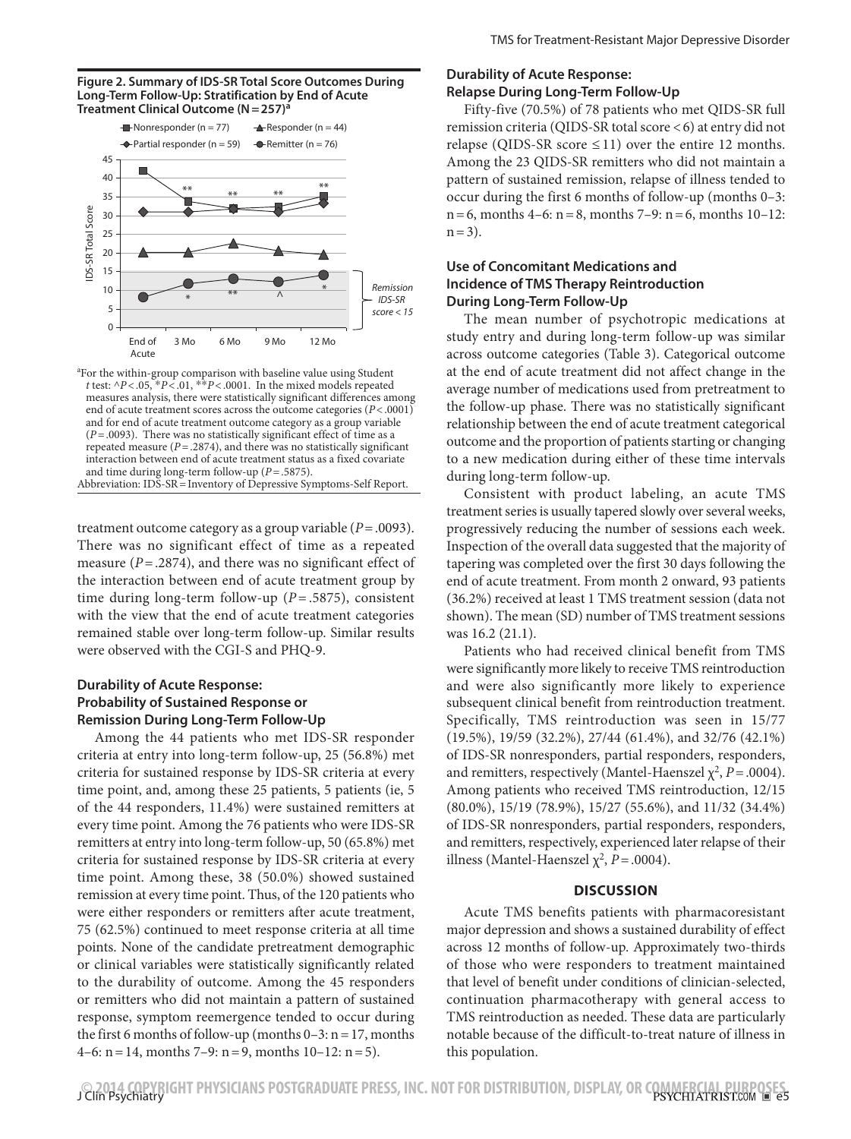



<sup>a</sup>For the within-group comparison with baseline value using Student *t* test:  $\triangle P$  < .05,  $\angle P$  < .01,  $\angle P$  < .0001. In the mixed models repeated measures analysis, there were statistically significant differences among end of acute treatment scores across the outcome categories (*P*<.0001) and for end of acute treatment outcome category as a group variable (*P*=.0093). There was no statistically significant effect of time as a repeated measure  $(P = .2874)$ , and there was no statistically significant interaction between end of acute treatment status as a fixed covariate and time during long-term follow-up (*P*=.5875). Abbreviation: IDS-SR=Inventory of Depressive Symptoms-Self Report.

treatment outcome category as a group variable (*P*=.0093). There was no significant effect of time as a repeated measure (*P*=.2874), and there was no significant effect of the interaction between end of acute treatment group by time during long-term follow-up (*P*= .5875), consistent with the view that the end of acute treatment categories remained stable over long-term follow-up. Similar results were observed with the CGI-S and PHQ-9.

# **Durability of Acute Response: Probability of Sustained Response or Remission During Long-Term Follow-Up**

Among the 44 patients who met IDS-SR responder criteria at entry into long-term follow-up, 25 (56.8%) met criteria for sustained response by IDS-SR criteria at every time point, and, among these 25 patients, 5 patients (ie, 5 of the 44 responders, 11.4%) were sustained remitters at every time point. Among the 76 patients who were IDS-SR remitters at entry into long-term follow-up, 50 (65.8%) met criteria for sustained response by IDS-SR criteria at every time point. Among these, 38 (50.0%) showed sustained remission at every time point. Thus, of the 120 patients who were either responders or remitters after acute treatment, 75 (62.5%) continued to meet response criteria at all time points. None of the candidate pretreatment demographic or clinical variables were statistically significantly related to the durability of outcome. Among the 45 responders or remitters who did not maintain a pattern of sustained response, symptom reemergence tended to occur during the first 6 months of follow-up (months  $0-3$ :  $n=17$ , months 4–6:  $n = 14$ , months 7–9:  $n = 9$ , months 10–12:  $n = 5$ ).

### **Durability of Acute Response: Relapse During Long-Term Follow-Up**

Fifty-five (70.5%) of 78 patients who met QIDS-SR full remission criteria (QIDS-SR total score <6) at entry did not relapse (QIDS-SR score  $\leq$  11) over the entire 12 months. Among the 23 QIDS-SR remitters who did not maintain a pattern of sustained remission, relapse of illness tended to occur during the first 6 months of follow-up (months 0–3:  $n=6$ , months 4–6:  $n=8$ , months 7–9:  $n=6$ , months 10–12:  $n=3$ ).

# **Use of Concomitant Medications and Incidence of TMS Therapy Reintroduction During Long-Term Follow-Up**

The mean number of psychotropic medications at study entry and during long-term follow-up was similar across outcome categories (Table 3). Categorical outcome at the end of acute treatment did not affect change in the average number of medications used from pretreatment to the follow-up phase. There was no statistically significant relationship between the end of acute treatment categorical outcome and the proportion of patients starting or changing to a new medication during either of these time intervals during long-term follow-up.

Consistent with product labeling, an acute TMS treatment series is usually tapered slowly over several weeks, progressively reducing the number of sessions each week. Inspection of the overall data suggested that the majority of tapering was completed over the first 30 days following the end of acute treatment. From month 2 onward, 93 patients (36.2%) received at least 1 TMS treatment session (data not shown). The mean (SD) number of TMS treatment sessions was 16.2 (21.1).

Patients who had received clinical benefit from TMS were significantly more likely to receive TMS reintroduction and were also significantly more likely to experience subsequent clinical benefit from reintroduction treatment. Specifically, TMS reintroduction was seen in 15/77 (19.5%), 19/59 (32.2%), 27/44 (61.4%), and 32/76 (42.1%) of IDS-SR nonresponders, partial responders, responders, and remitters, respectively (Mantel-Haenszel  $\chi^2$ , *P* = .0004). Among patients who received TMS reintroduction, 12/15 (80.0%), 15/19 (78.9%), 15/27 (55.6%), and 11/32 (34.4%) of IDS-SR nonresponders, partial responders, responders, and remitters, respectively, experienced later relapse of their illness (Mantel-Haenszel  $\chi^2$ , *P* = .0004).

#### **DISCUSSION**

Acute TMS benefits patients with pharmacoresistant major depression and shows a sustained durability of effect across 12 months of follow-up. Approximately two-thirds of those who were responders to treatment maintained that level of benefit under conditions of clinician-selected, continuation pharmacotherapy with general access to TMS reintroduction as needed. These data are particularly notable because of the difficult-to-treat nature of illness in this population.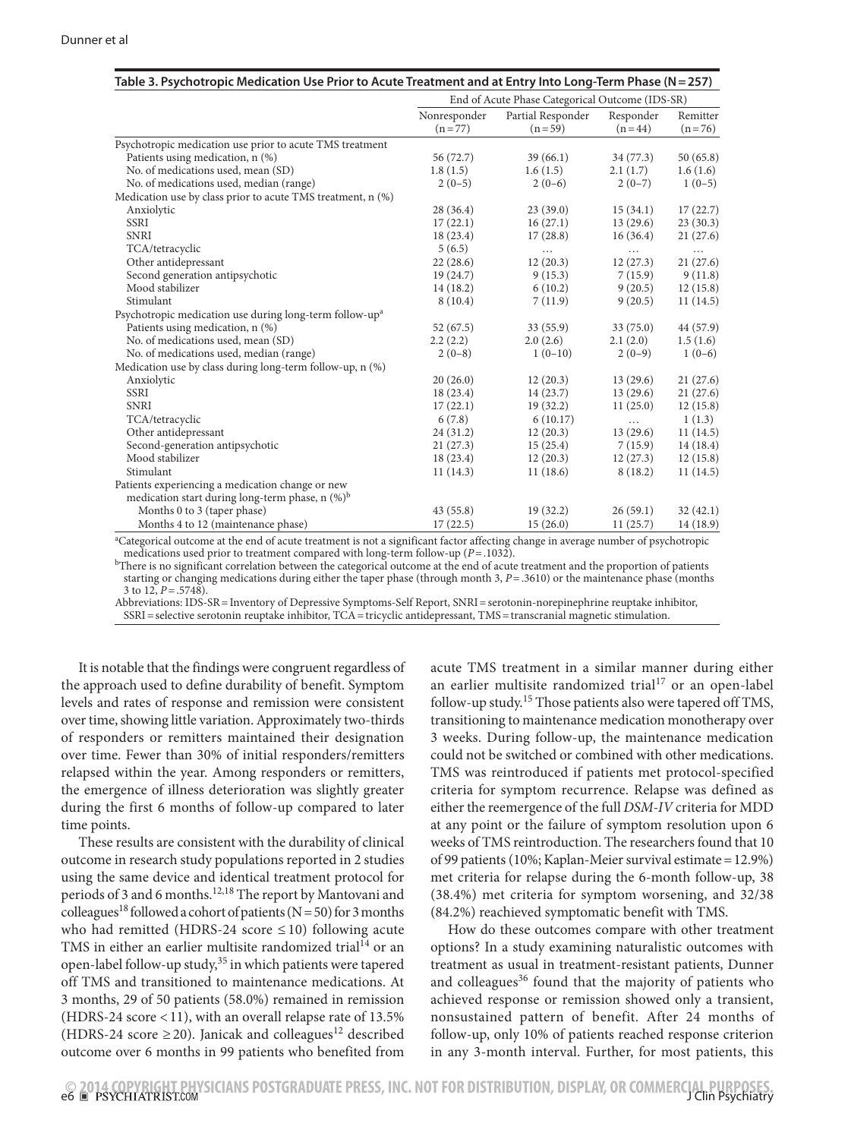|                                                                     |                          |                               |                       | End of Acute Phase Categorical Outcome (IDS-SR) |  |  |  |  |  |
|---------------------------------------------------------------------|--------------------------|-------------------------------|-----------------------|-------------------------------------------------|--|--|--|--|--|
|                                                                     | Nonresponder<br>$(n=77)$ | Partial Responder<br>$(n=59)$ | Responder<br>$(n=44)$ | Remitter<br>$(n=76)$                            |  |  |  |  |  |
|                                                                     |                          |                               |                       |                                                 |  |  |  |  |  |
| Psychotropic medication use prior to acute TMS treatment            |                          |                               |                       |                                                 |  |  |  |  |  |
| Patients using medication, n (%)                                    | 56 (72.7)                | 39(66.1)                      | 34(77.3)              | 50(65.8)                                        |  |  |  |  |  |
| No. of medications used, mean (SD)                                  | 1.8(1.5)                 | 1.6(1.5)                      | 2.1(1.7)              | 1.6(1.6)                                        |  |  |  |  |  |
| No. of medications used, median (range)                             | $2(0-5)$                 | $2(0-6)$                      | $2(0-7)$              | $1(0-5)$                                        |  |  |  |  |  |
| Medication use by class prior to acute TMS treatment, n (%)         |                          |                               |                       |                                                 |  |  |  |  |  |
| Anxiolytic                                                          | 28(36.4)                 | 23(39.0)                      | 15(34.1)              | 17(22.7)                                        |  |  |  |  |  |
| <b>SSRI</b>                                                         | 17(22.1)                 | 16(27.1)                      | 13(29.6)              | 23(30.3)                                        |  |  |  |  |  |
| <b>SNRI</b>                                                         | 18(23.4)                 | 17(28.8)                      | 16(36.4)              | 21(27.6)                                        |  |  |  |  |  |
| TCA/tetracyclic                                                     | 5(6.5)                   | .                             | .                     | $\cdots$                                        |  |  |  |  |  |
| Other antidepressant                                                | 22(28.6)                 | 12(20.3)                      | 12(27.3)              | 21(27.6)                                        |  |  |  |  |  |
| Second generation antipsychotic                                     | 19(24.7)                 | 9(15.3)                       | 7(15.9)               | 9(11.8)                                         |  |  |  |  |  |
| Mood stabilizer                                                     | 14(18.2)                 | 6(10.2)                       | 9(20.5)               | 12(15.8)                                        |  |  |  |  |  |
| Stimulant                                                           | 8(10.4)                  | 7(11.9)                       | 9(20.5)               | 11(14.5)                                        |  |  |  |  |  |
| Psychotropic medication use during long-term follow-up <sup>a</sup> |                          |                               |                       |                                                 |  |  |  |  |  |
| Patients using medication, n (%)                                    | 52(67.5)                 | 33(55.9)                      | 33(75.0)              | 44 (57.9)                                       |  |  |  |  |  |
| No. of medications used, mean (SD)                                  | 2.2(2.2)                 | 2.0(2.6)                      | 2.1(2.0)              | 1.5(1.6)                                        |  |  |  |  |  |
| No. of medications used, median (range)                             | $2(0-8)$                 | $1(0-10)$                     | $2(0-9)$              | $1(0-6)$                                        |  |  |  |  |  |
| Medication use by class during long-term follow-up, n (%)           |                          |                               |                       |                                                 |  |  |  |  |  |
| Anxiolytic                                                          | 20(26.0)                 | 12(20.3)                      | 13(29.6)              | 21(27.6)                                        |  |  |  |  |  |
| <b>SSRI</b>                                                         | 18(23.4)                 | 14(23.7)                      | 13(29.6)              | 21(27.6)                                        |  |  |  |  |  |
| <b>SNRI</b>                                                         | 17(22.1)                 | 19(32.2)                      | 11(25.0)              | 12(15.8)                                        |  |  |  |  |  |
| TCA/tetracyclic                                                     | 6(7.8)                   | 6(10.17)                      | $\cdots$              | 1(1.3)                                          |  |  |  |  |  |
| Other antidepressant                                                | 24(31.2)                 | 12(20.3)                      | 13(29.6)              | 11(14.5)                                        |  |  |  |  |  |
| Second-generation antipsychotic                                     | 21(27.3)                 | 15(25.4)                      | 7(15.9)               | 14(18.4)                                        |  |  |  |  |  |
| Mood stabilizer                                                     | 18(23.4)                 | 12(20.3)                      | 12(27.3)              | 12(15.8)                                        |  |  |  |  |  |
| Stimulant                                                           | 11(14.3)                 | 11(18.6)                      | 8(18.2)               | 11(14.5)                                        |  |  |  |  |  |
| Patients experiencing a medication change or new                    |                          |                               |                       |                                                 |  |  |  |  |  |
| medication start during long-term phase, $n$ (%) <sup>b</sup>       |                          |                               |                       |                                                 |  |  |  |  |  |
|                                                                     | 43(55.8)                 | 19(32.2)                      | 26(59.1)              |                                                 |  |  |  |  |  |
| Months 0 to 3 (taper phase)<br>Months 4 to 12 (maintenance phase)   | 17(22.5)                 | 15(26.0)                      | 11(25.7)              | 32(42.1)<br>14(18.9)                            |  |  |  |  |  |

a Categorical outcome at the end of acute treatment is not a significant factor affecting change in average number of psychotropic

medications used prior to treatment compared with long-term follow-up (*P*=.1032).<br><sup>b</sup>There is no significant correlation between the categorical outcome at the end of acute treatment and the proportion of patients starting or changing medications during either the taper phase (through month 3, *P*=.3610) or the maintenance phase (months 3 to 12,  $P = .5748$ ).

Abbreviations: IDS-SR=Inventory of Depressive Symptoms-Self Report, SNRI=serotonin-norepinephrine reuptake inhibitor, SSRI=selective serotonin reuptake inhibitor, TCA=tricyclic antidepressant, TMS=transcranial magnetic stimulation.

It is notable that the findings were congruent regardless of the approach used to define durability of benefit. Symptom levels and rates of response and remission were consistent over time, showing little variation. Approximately two-thirds of responders or remitters maintained their designation over time. Fewer than 30% of initial responders/remitters relapsed within the year. Among responders or remitters, the emergence of illness deterioration was slightly greater during the first 6 months of follow-up compared to later time points.

These results are consistent with the durability of clinical outcome in research study populations reported in 2 studies using the same device and identical treatment protocol for periods of 3 and 6 months.<sup>12,18</sup> The report by Mantovani and colleagues<sup>18</sup> followed a cohort of patients (N = 50) for 3 months who had remitted (HDRS-24 score  $\leq$  10) following acute TMS in either an earlier multisite randomized trial<sup>14</sup> or an open-label follow-up study,<sup>35</sup> in which patients were tapered off TMS and transitioned to maintenance medications. At 3 months, 29 of 50 patients (58.0%) remained in remission (HDRS-24 score  $<$  11), with an overall relapse rate of 13.5% (HDRS-24 score  $\geq$  20). Janicak and colleagues<sup>12</sup> described outcome over 6 months in 99 patients who benefited from

acute TMS treatment in a similar manner during either an earlier multisite randomized trial<sup>17</sup> or an open-label follow-up study.<sup>15</sup> Those patients also were tapered off TMS, transitioning to maintenance medication monotherapy over 3 weeks. During follow-up, the maintenance medication could not be switched or combined with other medications. TMS was reintroduced if patients met protocol-specified criteria for symptom recurrence. Relapse was defined as either the reemergence of the full *DSM-IV* criteria for MDD at any point or the failure of symptom resolution upon 6 weeks of TMS reintroduction. The researchers found that 10 of 99 patients (10%; Kaplan-Meier survival estimate=12.9%) met criteria for relapse during the 6-month follow-up, 38 (38.4%) met criteria for symptom worsening, and 32/38 (84.2%) reachieved symptomatic benefit with TMS.

How do these outcomes compare with other treatment options? In a study examining naturalistic outcomes with treatment as usual in treatment-resistant patients, Dunner and colleagues<sup>36</sup> found that the majority of patients who achieved response or remission showed only a transient, nonsustained pattern of benefit. After 24 months of follow-up, only 10% of patients reached response criterion in any 3-month interval. Further, for most patients, this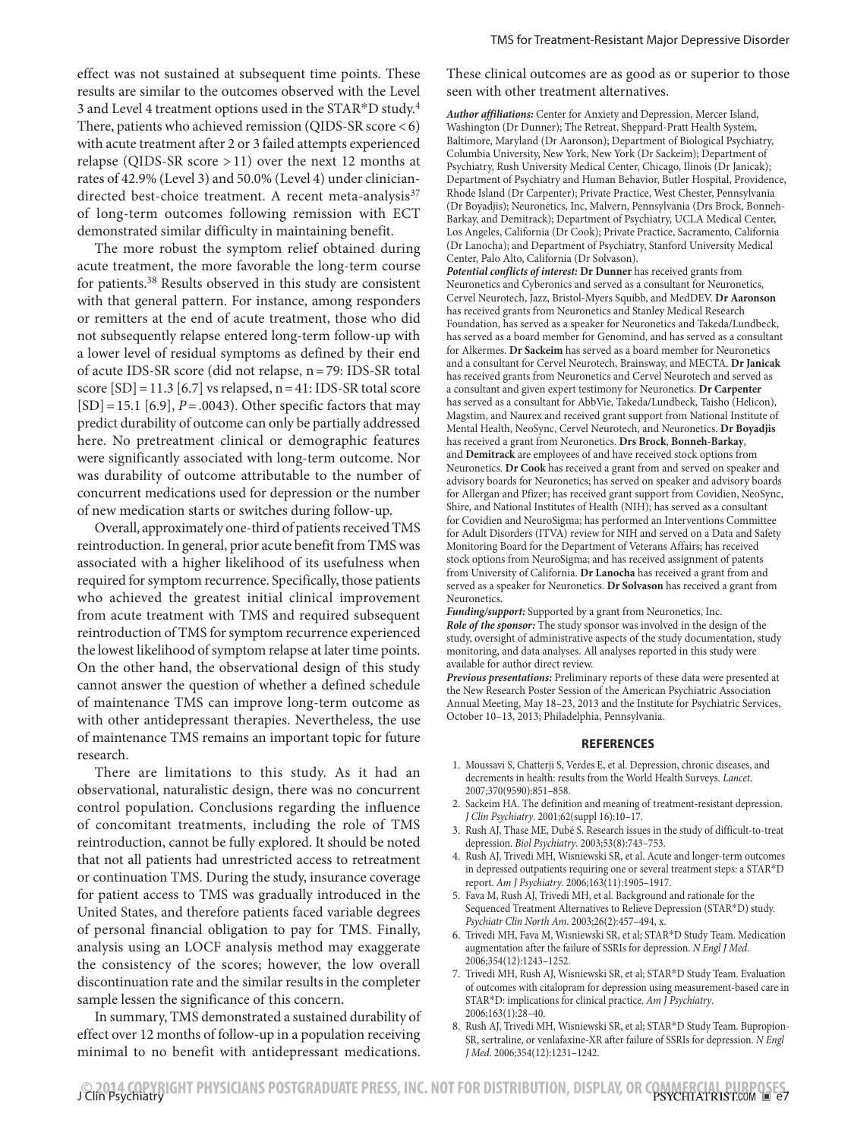effect was not sustained at subsequent time points. These results are similar to the outcomes observed with the Level 3 and Level 4 treatment options used in the STAR\*D study.4 There, patients who achieved remission (QIDS-SR score <6) with acute treatment after 2 or 3 failed attempts experienced relapse (QIDS-SR score >11) over the next 12 months at rates of 42.9% (Level 3) and 50.0% (Level 4) under cliniciandirected best-choice treatment. A recent meta-analysis<sup>37</sup> of long-term outcomes following remission with ECT demonstrated similar difficulty in maintaining benefit.

The more robust the symptom relief obtained during acute treatment, the more favorable the long-term course for patients.38 Results observed in this study are consistent with that general pattern. For instance, among responders or remitters at the end of acute treatment, those who did not subsequently relapse entered long-term follow-up with a lower level of residual symptoms as defined by their end of acute IDS-SR score (did not relapse, n=79: IDS-SR total score  $[SD] = 11.3$   $[6.7]$  vs relapsed,  $n = 41$ : IDS-SR total score  $[SD] = 15.1$  [6.9],  $P = .0043$ ). Other specific factors that may predict durability of outcome can only be partially addressed here. No pretreatment clinical or demographic features were significantly associated with long-term outcome. Nor was durability of outcome attributable to the number of concurrent medications used for depression or the number of new medication starts or switches during follow-up.

Overall, approximately one-third of patients received TMS reintroduction. In general, prior acute benefit from TMS was associated with a higher likelihood of its usefulness when required for symptom recurrence. Specifically, those patients who achieved the greatest initial clinical improvement from acute treatment with TMS and required subsequent reintroduction of TMS for symptom recurrence experienced the lowest likelihood of symptom relapse at later time points. On the other hand, the observational design of this study cannot answer the question of whether a defined schedule of maintenance TMS can improve long-term outcome as with other antidepressant therapies. Nevertheless, the use of maintenance TMS remains an important topic for future research.

There are limitations to this study. As it had an observational, naturalistic design, there was no concurrent control population. Conclusions regarding the influence of concomitant treatments, including the role of TMS reintroduction, cannot be fully explored. It should be noted that not all patients had unrestricted access to retreatment or continuation TMS. During the study, insurance coverage for patient access to TMS was gradually introduced in the United States, and therefore patients faced variable degrees of personal financial obligation to pay for TMS. Finally, analysis using an LOCF analysis method may exaggerate the consistency of the scores; however, the low overall discontinuation rate and the similar results in the completer sample lessen the significance of this concern.

In summary, TMS demonstrated a sustained durability of effect over 12 months of follow-up in a population receiving minimal to no benefit with antidepressant medications.

These clinical outcomes are as good as or superior to those seen with other treatment alternatives.

*Author affiliations:* Center for Anxiety and Depression, Mercer Island, Washington (Dr Dunner); The Retreat, Sheppard-Pratt Health System, Baltimore, Maryland (Dr Aaronson); Department of Biological Psychiatry, Columbia University, New York, New York (Dr Sackeim); Department of Psychiatry, Rush University Medical Center, Chicago, Ilinois (Dr Janicak); Department of Psychiatry and Human Behavior, Butler Hospital, Providence, Rhode Island (Dr Carpenter); Private Practice, West Chester, Pennsylvania (Dr Boyadjis); Neuronetics, Inc, Malvern, Pennsylvania (Drs Brock, Bonneh-Barkay, and Demitrack); Department of Psychiatry, UCLA Medical Center, Los Angeles, California (Dr Cook); Private Practice, Sacramento, California (Dr Lanocha); and Department of Psychiatry, Stanford University Medical Center, Palo Alto, California (Dr Solvason).

*Potential conflicts of interest:* **Dr Dunner** has received grants from Neuronetics and Cyberonics and served as a consultant for Neuronetics, Cervel Neurotech, Jazz, Bristol-Myers Squibb, and MedDEV. **Dr Aaronson**  has received grants from Neuronetics and Stanley Medical Research Foundation, has served as a speaker for Neuronetics and Takeda/Lundbeck, has served as a board member for Genomind, and has served as a consultant for Alkermes. **Dr Sackeim** has served as a board member for Neuronetics and a consultant for Cervel Neurotech, Brainsway, and MECTA. **Dr Janicak**  has received grants from Neuronetics and Cervel Neurotech and served as a consultant and given expert testimony for Neuronetics. **Dr Carpenter** has served as a consultant for AbbVie, Takeda/Lundbeck, Taisho (Helicon), Magstim, and Naurex and received grant support from National Institute of Mental Health, NeoSync, Cervel Neurotech, and Neuronetics. **Dr Boyadjis**  has received a grant from Neuronetics. **Drs Brock**, **Bonneh-Barkay**, and **Demitrack** are employees of and have received stock options from Neuronetics. **Dr Cook** has received a grant from and served on speaker and advisory boards for Neuronetics; has served on speaker and advisory boards for Allergan and Pfizer; has received grant support from Covidien, NeoSync, Shire, and National Institutes of Health (NIH); has served as a consultant for Covidien and NeuroSigma; has performed an Interventions Committee for Adult Disorders (ITVA) review for NIH and served on a Data and Safety Monitoring Board for the Department of Veterans Affairs; has received stock options from NeuroSigma; and has received assignment of patents from University of California. **Dr Lanocha** has received a grant from and served as a speaker for Neuronetics. **Dr Solvason** has received a grant from Neuronetics.

*Funding/support:* Supported by a grant from Neuronetics, Inc. *Role of the sponsor:* The study sponsor was involved in the design of the study, oversight of administrative aspects of the study documentation, study monitoring, and data analyses. All analyses reported in this study were available for author direct review.

*Previous presentations:* Preliminary reports of these data were presented at the New Research Poster Session of the American Psychiatric Association Annual Meeting, May 18-23, 2013 and the Institute for Psychiatric Services, October 10–13, 2013; Philadelphia, Pennsylvania.

## **REFERENCES**

- 1. Moussavi S, Chatterji S, Verdes E, et al. Depression, chronic diseases, and decrements in health: results from the World Health Surveys. *Lancet*. 2007;370(9590):851-858.
- 2. Sackeim HA. The definition and meaning of treatment-resistant depression. *J Clin Psychiatry*. 2001;62(suppl 16):10-17.
- 3. Rush AJ, Thase ME, Dubé S. Research issues in the study of difficult-to-treat depression. *Biol Psychiatry*. 2003;53(8):743-753.
- 4. Rush AJ, Trivedi MH, Wisniewski SR, et al. Acute and longer-term outcomes in depressed outpatients requiring one or several treatment steps: a STAR\*D report. *Am J Psychiatry*. 2006;163(11):1905-1917.
- 5. Fava M, Rush AJ, Trivedi MH, et al. Background and rationale for the Sequenced Treatment Alternatives to Relieve Depression (STAR\*D) study. Psychiatr Clin North Am. 2003;26(2):457-494, x.
- 6. Trivedi MH, Fava M, Wisniewski SR, et al; STAR\*D Study Team. Medication augmentation after the failure of SSRIs for depression. *N Engl J Med*. 2006;354(12):1243-1252.
- 7. Trivedi MH, Rush AJ, Wisniewski SR, et al; STAR\*D Study Team. Evaluation of outcomes with citalopram for depression using measurement-based care in STAR\*D: implications for clinical practice. *Am J Psychiatry*.  $2006;163(1):28-40.$
- 8. Rush AJ, Trivedi MH, Wisniewski SR, et al; STAR\*D Study Team. Bupropion-SR, sertraline, or venlafaxine-XR after failure of SSRIs for depression. *N Engl J Med.* 2006;354(12):1231-1242.